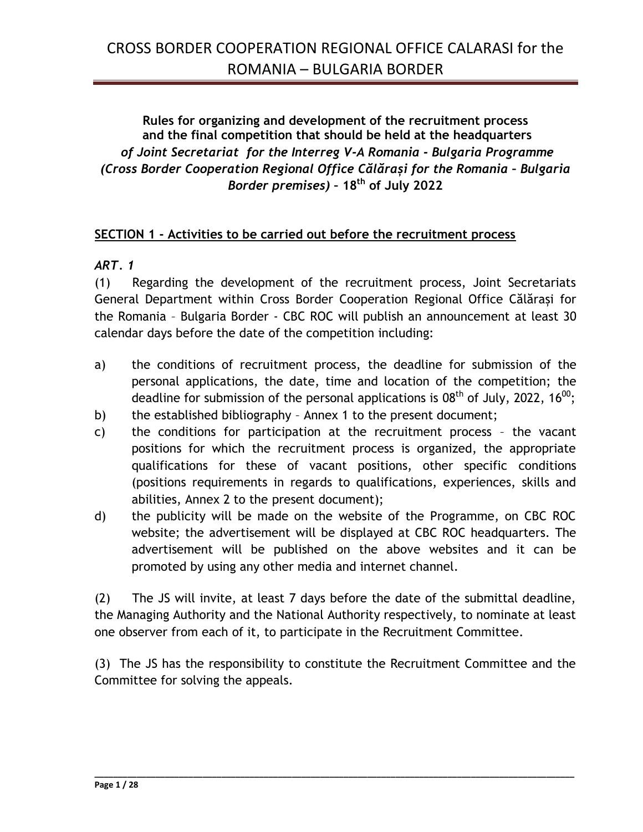## **Rules for organizing and development of the recruitment process and the final competition that should be held at the headquarters** *of Joint Secretariat for the Interreg V-A Romania - Bulgaria Programme (Cross Border Cooperation Regional Office Călărași for the Romania – Bulgaria Border premises)* **– 18th of July 2022**

### **SECTION 1 - Activities to be carried out before the recruitment process**

### *ART. 1*

(1) Regarding the development of the recruitment process, Joint Secretariats General Department within Cross Border Cooperation Regional Office Călărași for the Romania – Bulgaria Border - CBC ROC will publish an announcement at least 30 calendar days before the date of the competition including:

- a) the conditions of recruitment process, the deadline for submission of the personal applications, the date, time and location of the competition; the deadline for submission of the personal applications is 08<sup>th</sup> of July, 2022, 16<sup>00</sup>;
- b) the established bibliography Annex 1 to the present document;
- c) the conditions for participation at the recruitment process the vacant positions for which the recruitment process is organized, the appropriate qualifications for these of vacant positions, other specific conditions (positions requirements in regards to qualifications, experiences, skills and abilities, Annex 2 to the present document);
- d) the publicity will be made on the website of the Programme, on CBC ROC website; the advertisement will be displayed at CBC ROC headquarters. The advertisement will be published on the above websites and it can be promoted by using any other media and internet channel.

(2) The JS will invite, at least 7 days before the date of the submittal deadline, the Managing Authority and the National Authority respectively, to nominate at least one observer from each of it, to participate in the Recruitment Committee.

(3) The JS has the responsibility to constitute the Recruitment Committee and the Committee for solving the appeals.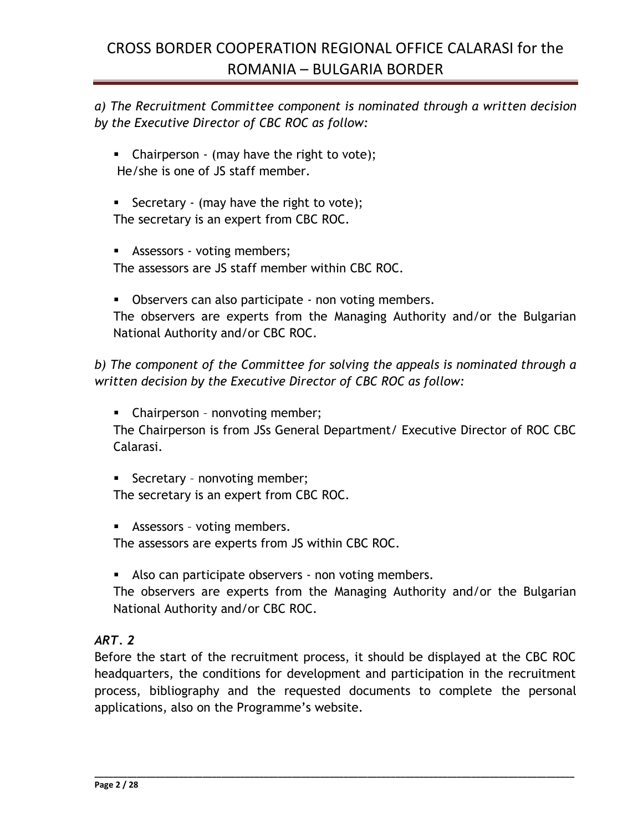*a) The Recruitment Committee component is nominated through a written decision by the Executive Director of CBC ROC as follow:* 

- $\blacksquare$  Chairperson (may have the right to vote); He/she is one of JS staff member.
- Secretary (may have the right to vote); The secretary is an expert from CBC ROC.
- **Assessors voting members;**

The assessors are JS staff member within CBC ROC.

**D**bservers can also participate - non voting members.

The observers are experts from the Managing Authority and/or the Bulgarian National Authority and/or CBC ROC.

*b) The component of the Committee for solving the appeals is nominated through a written decision by the Executive Director of CBC ROC as follow:*

**EXEC** Chairperson - nonvoting member;

The Chairperson is from JSs General Department/ Executive Director of ROC CBC Calarasi.

**Secretary - nonvoting member;** 

The secretary is an expert from CBC ROC.

Assessors – voting members.

The assessors are experts from JS within CBC ROC.

Also can participate observers - non voting members.

The observers are experts from the Managing Authority and/or the Bulgarian National Authority and/or CBC ROC.

## *ART. 2*

Before the start of the recruitment process, it should be displayed at the CBC ROC headquarters, the conditions for development and participation in the recruitment process, bibliography and the requested documents to complete the personal applications, also on the Programme's website.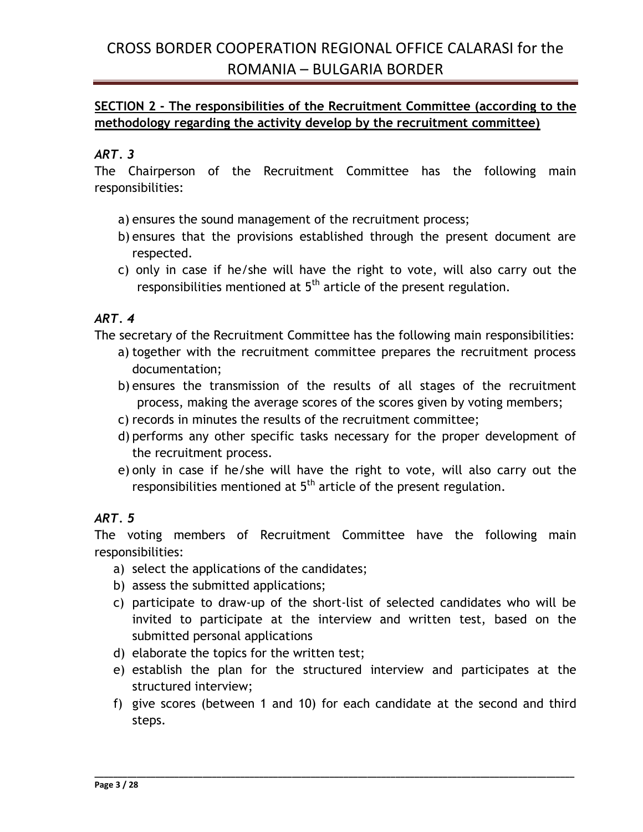### **SECTION 2 - The responsibilities of the Recruitment Committee (according to the methodology regarding the activity develop by the recruitment committee)**

## *ART. 3*

The Chairperson of the Recruitment Committee has the following main responsibilities:

- a) ensures the sound management of the recruitment process;
- b) ensures that the provisions established through the present document are respected.
- c) only in case if he/she will have the right to vote, will also carry out the responsibilities mentioned at  $5<sup>th</sup>$  article of the present regulation.

### *ART. 4*

The secretary of the Recruitment Committee has the following main responsibilities:

- a) together with the recruitment committee prepares the recruitment process documentation;
- b) ensures the transmission of the results of all stages of the recruitment process, making the average scores of the scores given by voting members;
- c) records in minutes the results of the recruitment committee;
- d) performs any other specific tasks necessary for the proper development of the recruitment process.
- e) only in case if he/she will have the right to vote, will also carry out the responsibilities mentioned at  $5<sup>th</sup>$  article of the present regulation.

### *ART. 5*

The voting members of Recruitment Committee have the following main responsibilities:

- a) select the applications of the candidates;
- b) assess the submitted applications;
- c) participate to draw-up of the short-list of selected candidates who will be invited to participate at the interview and written test, based on the submitted personal applications
- d) elaborate the topics for the written test;
- e) establish the plan for the structured interview and participates at the structured interview;
- f) give scores (between 1 and 10) for each candidate at the second and third steps.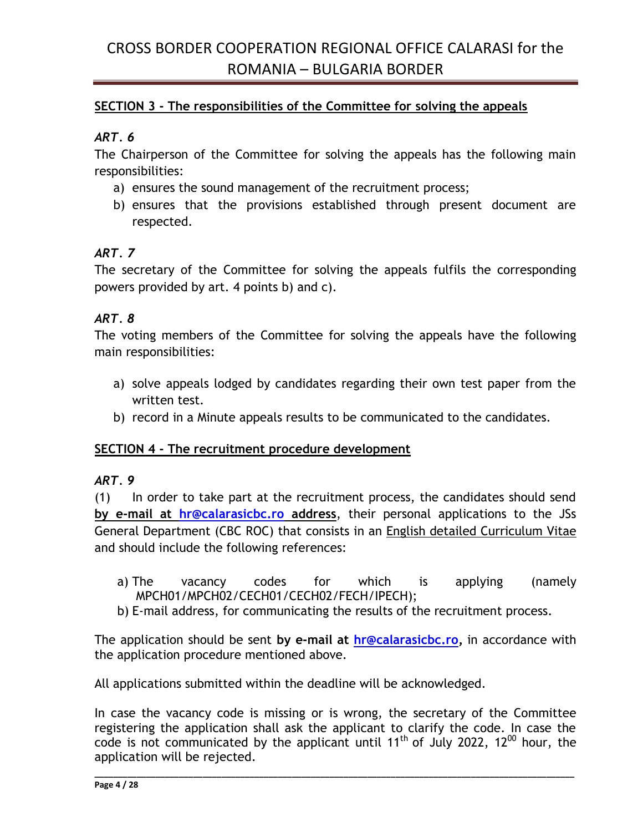### **SECTION 3 - The responsibilities of the Committee for solving the appeals**

### *ART. 6*

The Chairperson of the Committee for solving the appeals has the following main responsibilities:

- a) ensures the sound management of the recruitment process;
- b) ensures that the provisions established through present document are respected.

### *ART. 7*

The secretary of the Committee for solving the appeals fulfils the corresponding powers provided by art. 4 points b) and c).

### *ART. 8*

The voting members of the Committee for solving the appeals have the following main responsibilities:

- a) solve appeals lodged by candidates regarding their own test paper from the written test.
- b) record in a Minute appeals results to be communicated to the candidates.

#### **SECTION 4 - The recruitment procedure development**

### *ART. 9*

(1) In order to take part at the recruitment process, the candidates should send **by e-mail at [hr@calarasicbc.ro](mailto:hr@calarasicbc.ro) address**, their personal applications to the JSs General Department (CBC ROC) that consists in an English detailed Curriculum Vitae and should include the following references:

- a) The vacancy codes for which is applying (namely MPCH01/MPCH02/CECH01/CECH02/FECH/IPECH);
- b) E-mail address, for communicating the results of the recruitment process.

The application should be sent **by e-mail at [hr@calarasicbc.ro,](mailto:hr@calarasicbc.ro)** in accordance with the application procedure mentioned above.

All applications submitted within the deadline will be acknowledged.

In case the vacancy code is missing or is wrong, the secretary of the Committee registering the application shall ask the applicant to clarify the code. In case the code is not communicated by the applicant until 11<sup>th</sup> of July 2022, 12<sup>00</sup> hour, the application will be rejected.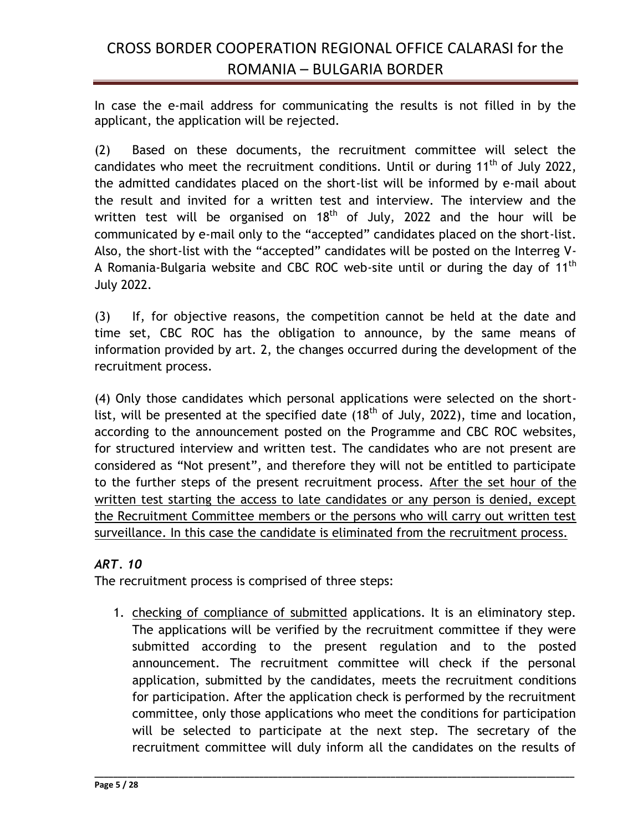In case the e-mail address for communicating the results is not filled in by the applicant, the application will be rejected.

(2) Based on these documents, the recruitment committee will select the candidates who meet the recruitment conditions. Until or during  $11<sup>th</sup>$  of July 2022, the admitted candidates placed on the short-list will be informed by e-mail about the result and invited for a written test and interview. The interview and the written test will be organised on  $18^{\text{th}}$  of July, 2022 and the hour will be communicated by e-mail only to the "accepted" candidates placed on the short-list. Also, the short-list with the "accepted" candidates will be posted on the Interreg V-A Romania-Bulgaria website and CBC ROC web-site until or during the day of 11<sup>th</sup> July 2022.

(3) If, for objective reasons, the competition cannot be held at the date and time set, CBC ROC has the obligation to announce, by the same means of information provided by art. 2, the changes occurred during the development of the recruitment process.

(4) Only those candidates which personal applications were selected on the shortlist, will be presented at the specified date (18<sup>th</sup> of July, 2022), time and location, according to the announcement posted on the Programme and CBC ROC websites, for structured interview and written test. The candidates who are not present are considered as "Not present", and therefore they will not be entitled to participate to the further steps of the present recruitment process. After the set hour of the written test starting the access to late candidates or any person is denied, except the Recruitment Committee members or the persons who will carry out written test surveillance. In this case the candidate is eliminated from the recruitment process.

### *ART. 10*

The recruitment process is comprised of three steps:

1. checking of compliance of submitted applications. It is an eliminatory step. The applications will be verified by the recruitment committee if they were submitted according to the present regulation and to the posted announcement. The recruitment committee will check if the personal application, submitted by the candidates, meets the recruitment conditions for participation. After the application check is performed by the recruitment committee, only those applications who meet the conditions for participation will be selected to participate at the next step. The secretary of the recruitment committee will duly inform all the candidates on the results of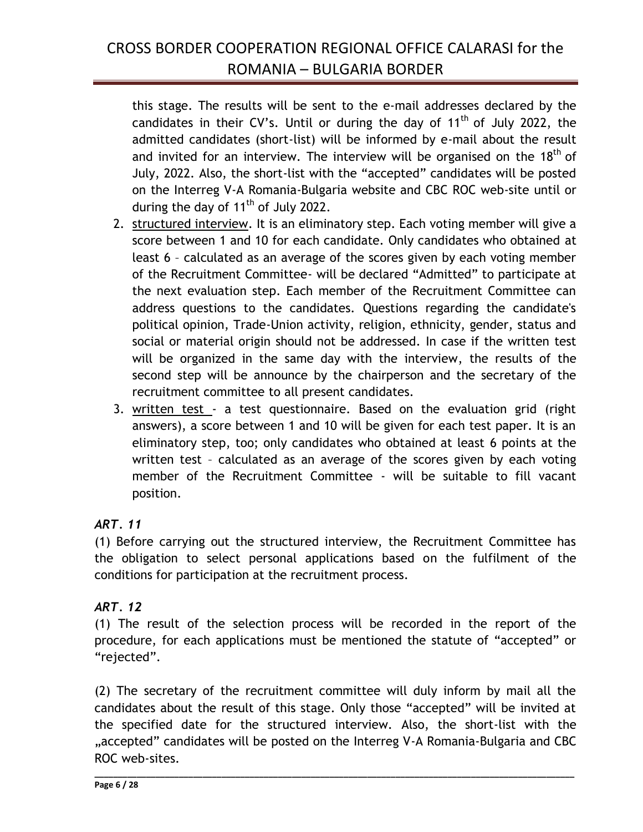this stage. The results will be sent to the e-mail addresses declared by the candidates in their CV's. Until or during the day of  $11<sup>th</sup>$  of July 2022, the admitted candidates (short-list) will be informed by e-mail about the result and invited for an interview. The interview will be organised on the 18<sup>th</sup> of July, 2022. Also, the short-list with the "accepted" candidates will be posted on the Interreg V-A Romania-Bulgaria website and CBC ROC web-site until or during the day of  $11<sup>th</sup>$  of July 2022.

- 2. structured interview. It is an eliminatory step. Each voting member will give a score between 1 and 10 for each candidate. Only candidates who obtained at least 6 – calculated as an average of the scores given by each voting member of the Recruitment Committee- will be declared "Admitted" to participate at the next evaluation step. Each member of the Recruitment Committee can address questions to the candidates. Questions regarding the candidate's political opinion, Trade-Union activity, religion, ethnicity, gender, status and social or material origin should not be addressed. In case if the written test will be organized in the same day with the interview, the results of the second step will be announce by the chairperson and the secretary of the recruitment committee to all present candidates.
- 3. written test a test questionnaire. Based on the evaluation grid (right answers), a score between 1 and 10 will be given for each test paper. It is an eliminatory step, too; only candidates who obtained at least 6 points at the written test – calculated as an average of the scores given by each voting member of the Recruitment Committee - will be suitable to fill vacant position.

## *ART. 11*

(1) Before carrying out the structured interview, the Recruitment Committee has the obligation to select personal applications based on the fulfilment of the conditions for participation at the recruitment process.

## *ART. 12*

(1) The result of the selection process will be recorded in the report of the procedure, for each applications must be mentioned the statute of "accepted" or "rejected".

(2) The secretary of the recruitment committee will duly inform by mail all the candidates about the result of this stage. Only those "accepted" will be invited at the specified date for the structured interview. Also, the short-list with the "accepted" candidates will be posted on the Interreg V-A Romania-Bulgaria and CBC ROC web-sites.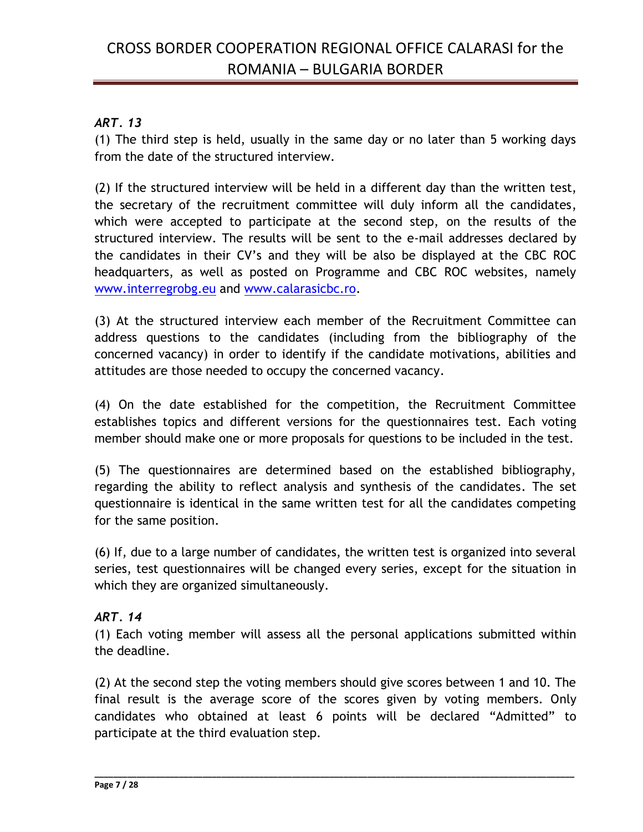### *ART. 13*

(1) The third step is held, usually in the same day or no later than 5 working days from the date of the structured interview.

(2) If the structured interview will be held in a different day than the written test, the secretary of the recruitment committee will duly inform all the candidates, which were accepted to participate at the second step, on the results of the structured interview. The results will be sent to the e-mail addresses declared by the candidates in their CV's and they will be also be displayed at the CBC ROC headquarters, as well as posted on Programme and CBC ROC websites, namely [www.interregrobg.eu](http://www.interregrobg.eu/) and [www.calarasicbc.ro.](http://www.calarasicbc.ro/)

(3) At the structured interview each member of the Recruitment Committee can address questions to the candidates (including from the bibliography of the concerned vacancy) in order to identify if the candidate motivations, abilities and attitudes are those needed to occupy the concerned vacancy.

(4) On the date established for the competition, the Recruitment Committee establishes topics and different versions for the questionnaires test. Each voting member should make one or more proposals for questions to be included in the test.

(5) The questionnaires are determined based on the established bibliography, regarding the ability to reflect analysis and synthesis of the candidates. The set questionnaire is identical in the same written test for all the candidates competing for the same position.

(6) If, due to a large number of candidates, the written test is organized into several series, test questionnaires will be changed every series, except for the situation in which they are organized simultaneously.

### *ART. 14*

(1) Each voting member will assess all the personal applications submitted within the deadline.

(2) At the second step the voting members should give scores between 1 and 10. The final result is the average score of the scores given by voting members. Only candidates who obtained at least 6 points will be declared "Admitted" to participate at the third evaluation step.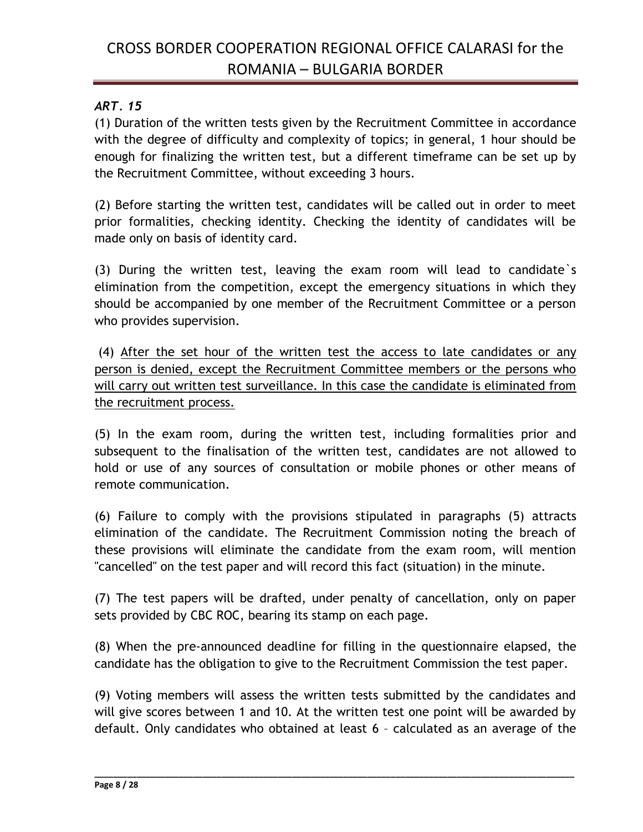### *ART. 15*

(1) Duration of the written tests given by the Recruitment Committee in accordance with the degree of difficulty and complexity of topics; in general, 1 hour should be enough for finalizing the written test, but a different timeframe can be set up by the Recruitment Committee, without exceeding 3 hours.

(2) Before starting the written test, candidates will be called out in order to meet prior formalities, checking identity. Checking the identity of candidates will be made only on basis of identity card.

(3) During the written test, leaving the exam room will lead to candidate`s elimination from the competition, except the emergency situations in which they should be accompanied by one member of the Recruitment Committee or a person who provides supervision.

(4) After the set hour of the written test the access to late candidates or any person is denied, except the Recruitment Committee members or the persons who will carry out written test surveillance. In this case the candidate is eliminated from the recruitment process.

(5) In the exam room, during the written test, including formalities prior and subsequent to the finalisation of the written test, candidates are not allowed to hold or use of any sources of consultation or mobile phones or other means of remote communication.

(6) Failure to comply with the provisions stipulated in paragraphs (5) attracts elimination of the candidate. The Recruitment Commission noting the breach of these provisions will eliminate the candidate from the exam room, will mention "cancelled" on the test paper and will record this fact (situation) in the minute.

(7) The test papers will be drafted, under penalty of cancellation, only on paper sets provided by CBC ROC, bearing its stamp on each page.

(8) When the pre-announced deadline for filling in the questionnaire elapsed, the candidate has the obligation to give to the Recruitment Commission the test paper.

(9) Voting members will assess the written tests submitted by the candidates and will give scores between 1 and 10. At the written test one point will be awarded by default. Only candidates who obtained at least 6 – calculated as an average of the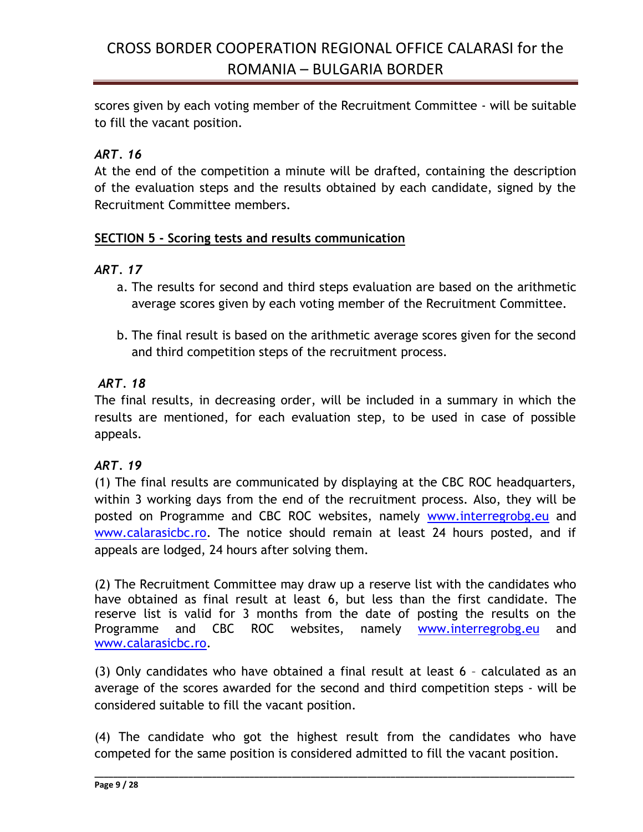scores given by each voting member of the Recruitment Committee - will be suitable to fill the vacant position.

## *ART. 16*

At the end of the competition a minute will be drafted, containing the description of the evaluation steps and the results obtained by each candidate, signed by the Recruitment Committee members.

### **SECTION 5 - Scoring tests and results communication**

### *ART. 17*

- a. The results for second and third steps evaluation are based on the arithmetic average scores given by each voting member of the Recruitment Committee.
- b. The final result is based on the arithmetic average scores given for the second and third competition steps of the recruitment process.

## *ART. 18*

The final results, in decreasing order, will be included in a summary in which the results are mentioned, for each evaluation step, to be used in case of possible appeals.

## *ART. 19*

(1) The final results are communicated by displaying at the CBC ROC headquarters, within 3 working days from the end of the recruitment process. Also, they will be posted on Programme and CBC ROC websites, namely [www.interregrobg.eu](http://www.interregrobg.eu/) and [www.calarasicbc.ro.](http://www.calarasicbc.ro/) The notice should remain at least 24 hours posted, and if appeals are lodged, 24 hours after solving them.

(2) The Recruitment Committee may draw up a reserve list with the candidates who have obtained as final result at least 6, but less than the first candidate. The reserve list is valid for 3 months from the date of posting the results on the Programme and CBC ROC websites, namely [www.interregrobg.eu](http://www.interregrobg.eu/) and [www.calarasicbc.ro.](http://www.calarasicbc.ro/)

(3) Only candidates who have obtained a final result at least 6 – calculated as an average of the scores awarded for the second and third competition steps - will be considered suitable to fill the vacant position.

(4) The candidate who got the highest result from the candidates who have competed for the same position is considered admitted to fill the vacant position.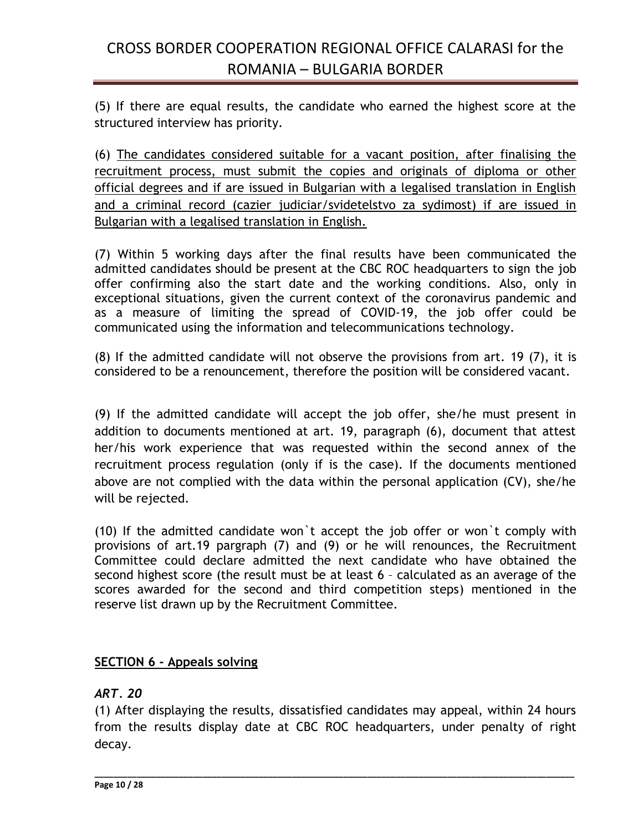(5) If there are equal results, the candidate who earned the highest score at the structured interview has priority.

(6) The candidates considered suitable for a vacant position, after finalising the recruitment process, must submit the copies and originals of diploma or other official degrees and if are issued in Bulgarian with a legalised translation in English and a criminal record (cazier judiciar/svidetelstvo za sydimost) if are issued in Bulgarian with a legalised translation in English.

(7) Within 5 working days after the final results have been communicated the admitted candidates should be present at the CBC ROC headquarters to sign the job offer confirming also the start date and the working conditions. Also, only in exceptional situations, given the current context of the coronavirus pandemic and as a measure of limiting the spread of COVID-19, the job offer could be communicated using the information and telecommunications technology.

(8) If the admitted candidate will not observe the provisions from art. 19 (7), it is considered to be a renouncement, therefore the position will be considered vacant.

(9) If the admitted candidate will accept the job offer, she/he must present in addition to documents mentioned at art. 19, paragraph (6), document that attest her/his work experience that was requested within the second annex of the recruitment process regulation (only if is the case). If the documents mentioned above are not complied with the data within the personal application (CV), she/he will be rejected.

(10) If the admitted candidate won`t accept the job offer or won`t comply with provisions of art.19 pargraph (7) and (9) or he will renounces, the Recruitment Committee could declare admitted the next candidate who have obtained the second highest score (the result must be at least 6 – calculated as an average of the scores awarded for the second and third competition steps) mentioned in the reserve list drawn up by the Recruitment Committee.

### **SECTION 6 - Appeals solving**

#### *ART. 20*

(1) After displaying the results, dissatisfied candidates may appeal, within 24 hours from the results display date at CBC ROC headquarters, under penalty of right decay.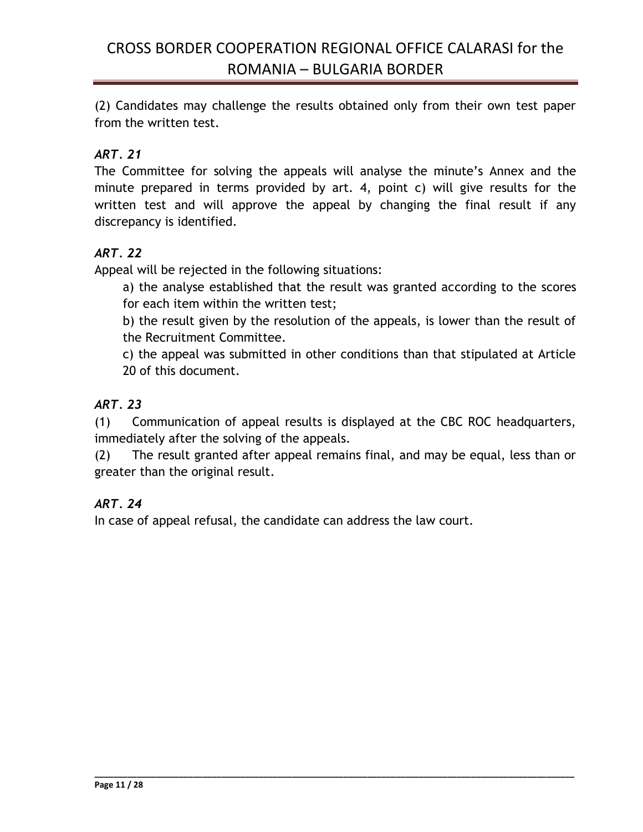(2) Candidates may challenge the results obtained only from their own test paper from the written test.

## *ART. 21*

The Committee for solving the appeals will analyse the minute's Annex and the minute prepared in terms provided by art. 4, point c) will give results for the written test and will approve the appeal by changing the final result if any discrepancy is identified.

## *ART. 22*

Appeal will be rejected in the following situations:

a) the analyse established that the result was granted according to the scores for each item within the written test;

b) the result given by the resolution of the appeals, is lower than the result of the Recruitment Committee.

c) the appeal was submitted in other conditions than that stipulated at Article 20 of this document.

## *ART. 23*

(1) Communication of appeal results is displayed at the CBC ROC headquarters, immediately after the solving of the appeals.

(2) The result granted after appeal remains final, and may be equal, less than or greater than the original result.

**\_\_\_\_\_\_\_\_\_\_\_\_\_\_\_\_\_\_\_\_\_\_\_\_\_\_\_\_\_\_\_\_\_\_\_\_\_\_\_\_\_\_\_\_\_\_\_\_\_\_\_\_\_\_\_\_\_\_\_\_\_\_\_\_\_\_\_\_\_\_\_\_\_\_\_\_\_\_\_\_\_\_\_\_\_\_\_\_\_\_\_\_\_\_\_\_\_\_\_\_\_\_**

## *ART. 24*

In case of appeal refusal, the candidate can address the law court.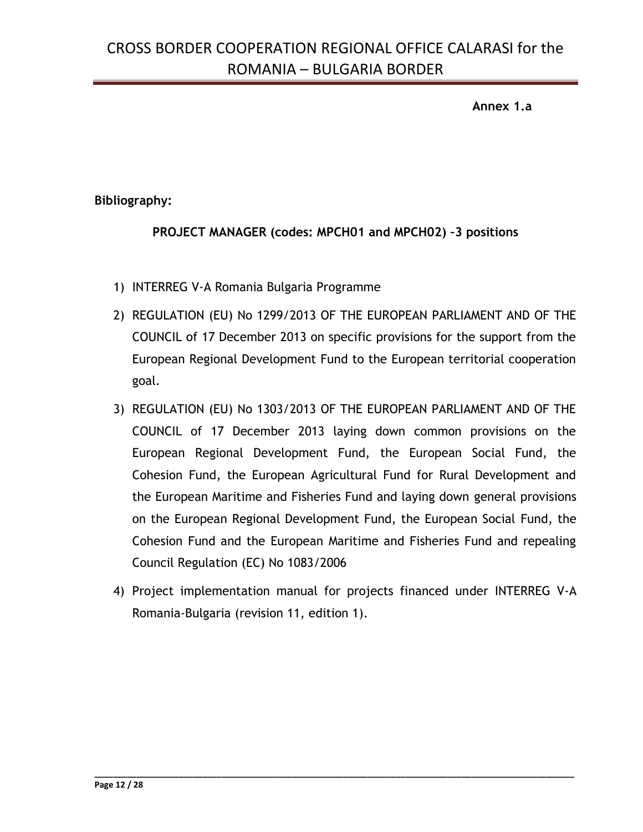**Annex 1.a**

### **Bibliography:**

### **PROJECT MANAGER (codes: MPCH01 and MPCH02) –3 positions**

- 1) INTERREG V-A Romania Bulgaria Programme
- 2) REGULATION (EU) No 1299/2013 OF THE EUROPEAN PARLIAMENT AND OF THE COUNCIL of 17 December 2013 on specific provisions for the support from the European Regional Development Fund to the European territorial cooperation goal.
- 3) REGULATION (EU) No 1303/2013 OF THE EUROPEAN PARLIAMENT AND OF THE COUNCIL of 17 December 2013 laying down common provisions on the European Regional Development Fund, the European Social Fund, the Cohesion Fund, the European Agricultural Fund for Rural Development and the European Maritime and Fisheries Fund and laying down general provisions on the European Regional Development Fund, the European Social Fund, the Cohesion Fund and the European Maritime and Fisheries Fund and repealing Council Regulation (EC) No 1083/2006
- 4) Project implementation manual for projects financed under INTERREG V-A Romania-Bulgaria (revision 11, edition 1).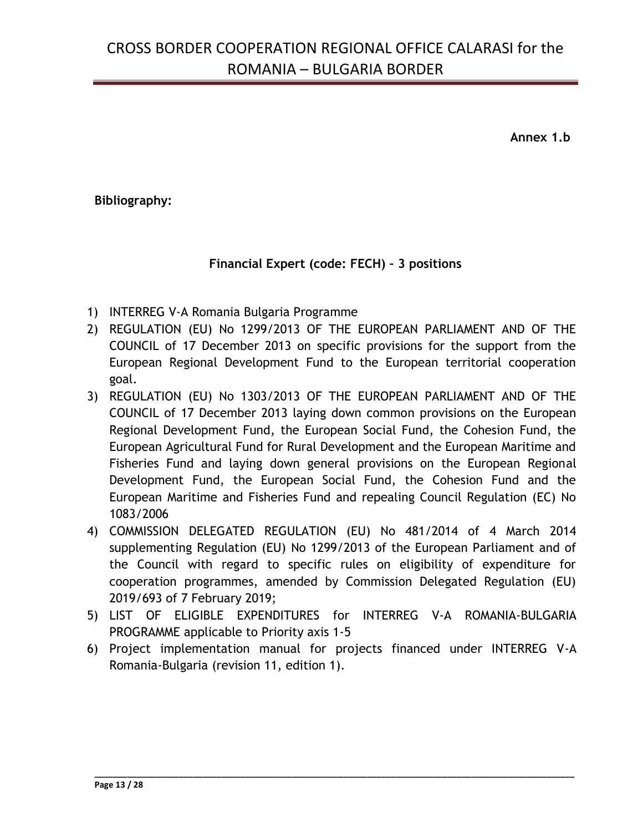**Annex 1.b**

### **Bibliography:**

### **Financial Expert (code: FECH) – 3 positions**

- 1) INTERREG V-A Romania Bulgaria Programme
- 2) REGULATION (EU) No 1299/2013 OF THE EUROPEAN PARLIAMENT AND OF THE COUNCIL of 17 December 2013 on specific provisions for the support from the European Regional Development Fund to the European territorial cooperation goal.
- 3) REGULATION (EU) No 1303/2013 OF THE EUROPEAN PARLIAMENT AND OF THE COUNCIL of 17 December 2013 laying down common provisions on the European Regional Development Fund, the European Social Fund, the Cohesion Fund, the European Agricultural Fund for Rural Development and the European Maritime and Fisheries Fund and laying down general provisions on the European Regional Development Fund, the European Social Fund, the Cohesion Fund and the European Maritime and Fisheries Fund and repealing Council Regulation (EC) No 1083/2006
- 4) COMMISSION DELEGATED REGULATION (EU) No 481/2014 of 4 March 2014 supplementing Regulation (EU) No 1299/2013 of the European Parliament and of the Council with regard to specific rules on eligibility of expenditure for cooperation programmes, amended by Commission Delegated Regulation (EU) 2019/693 of 7 February 2019;
- 5) LIST OF ELIGIBLE EXPENDITURES for INTERREG V-A ROMANIA-BULGARIA PROGRAMME applicable to Priority axis 1-5
- 6) Project implementation manual for projects financed under INTERREG V-A Romania-Bulgaria (revision 11, edition 1).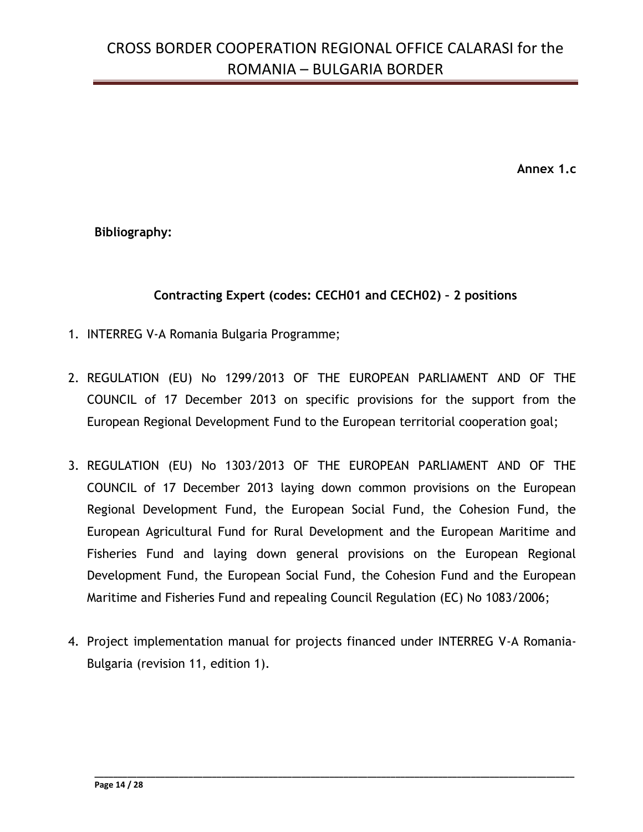**Annex 1.c**

**Bibliography:**

### **Contracting Expert (codes: CECH01 and CECH02) – 2 positions**

- 1. INTERREG V-A Romania Bulgaria Programme;
- 2. REGULATION (EU) No 1299/2013 OF THE EUROPEAN PARLIAMENT AND OF THE COUNCIL of 17 December 2013 on specific provisions for the support from the European Regional Development Fund to the European territorial cooperation goal;
- 3. REGULATION (EU) No 1303/2013 OF THE EUROPEAN PARLIAMENT AND OF THE COUNCIL of 17 December 2013 laying down common provisions on the European Regional Development Fund, the European Social Fund, the Cohesion Fund, the European Agricultural Fund for Rural Development and the European Maritime and Fisheries Fund and laying down general provisions on the European Regional Development Fund, the European Social Fund, the Cohesion Fund and the European Maritime and Fisheries Fund and repealing Council Regulation (EC) No 1083/2006;
- 4. Project implementation manual for projects financed under INTERREG V-A Romania-Bulgaria (revision 11, edition 1).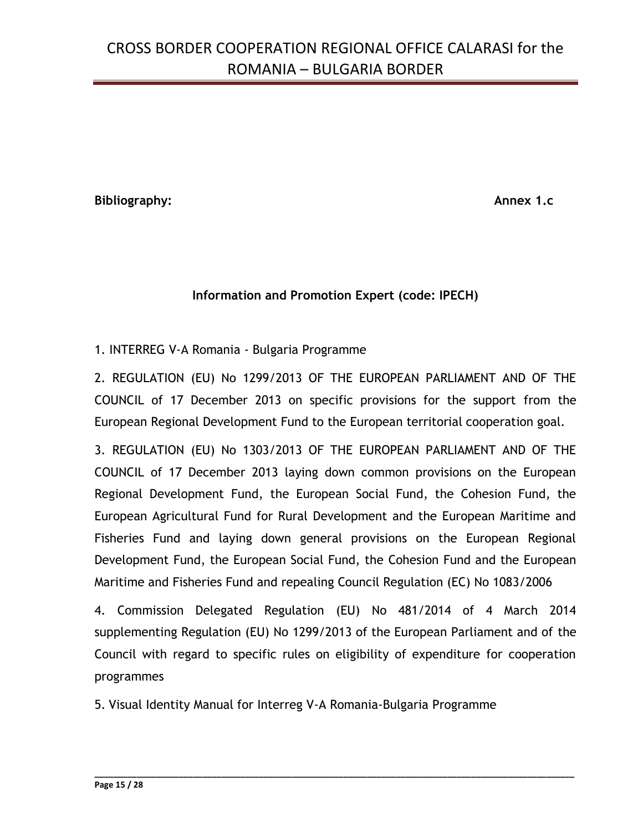**Bibliography: Annex 1.c**

### **Information and Promotion Expert (code: IPECH)**

1. INTERREG V-A Romania - Bulgaria Programme

2. REGULATION (EU) No 1299/2013 OF THE EUROPEAN PARLIAMENT AND OF THE COUNCIL of 17 December 2013 on specific provisions for the support from the European Regional Development Fund to the European territorial cooperation goal.

3. REGULATION (EU) No 1303/2013 OF THE EUROPEAN PARLIAMENT AND OF THE COUNCIL of 17 December 2013 laying down common provisions on the European Regional Development Fund, the European Social Fund, the Cohesion Fund, the European Agricultural Fund for Rural Development and the European Maritime and Fisheries Fund and laying down general provisions on the European Regional Development Fund, the European Social Fund, the Cohesion Fund and the European Maritime and Fisheries Fund and repealing Council Regulation (EC) No 1083/2006

4. Commission Delegated Regulation (EU) No 481/2014 of 4 March 2014 supplementing Regulation (EU) No 1299/2013 of the European Parliament and of the Council with regard to specific rules on eligibility of expenditure for cooperation programmes

**\_\_\_\_\_\_\_\_\_\_\_\_\_\_\_\_\_\_\_\_\_\_\_\_\_\_\_\_\_\_\_\_\_\_\_\_\_\_\_\_\_\_\_\_\_\_\_\_\_\_\_\_\_\_\_\_\_\_\_\_\_\_\_\_\_\_\_\_\_\_\_\_\_\_\_\_\_\_\_\_\_\_\_\_\_\_\_\_\_\_\_\_\_\_\_\_\_\_\_\_\_\_**

5. Visual Identity Manual for Interreg V-A Romania-Bulgaria Programme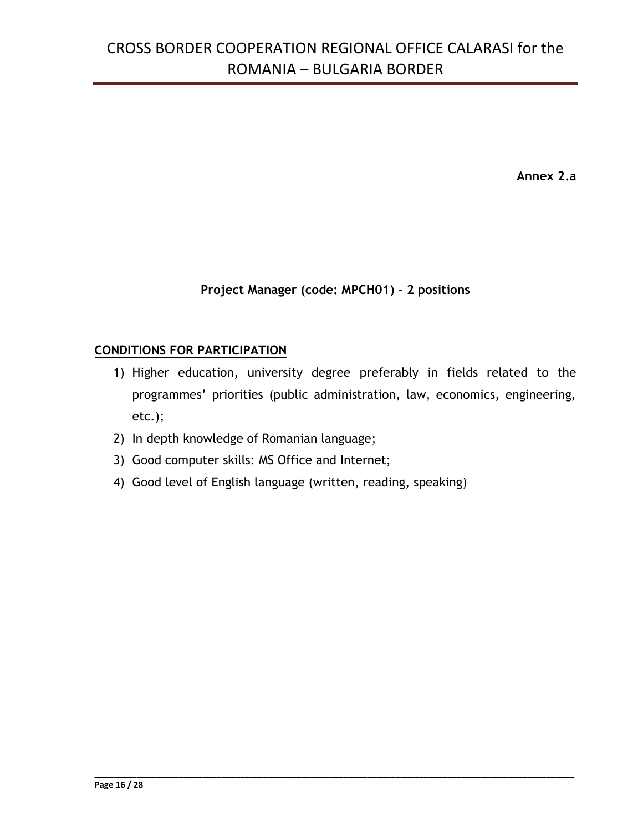**Annex 2.a**

### **Project Manager (code: MPCH01) - 2 positions**

### **CONDITIONS FOR PARTICIPATION**

1) Higher education, university degree preferably in fields related to the programmes' priorities (public administration, law, economics, engineering, etc.);

- 2) In depth knowledge of Romanian language;
- 3) Good computer skills: MS Office and Internet;
- 4) Good level of English language (written, reading, speaking)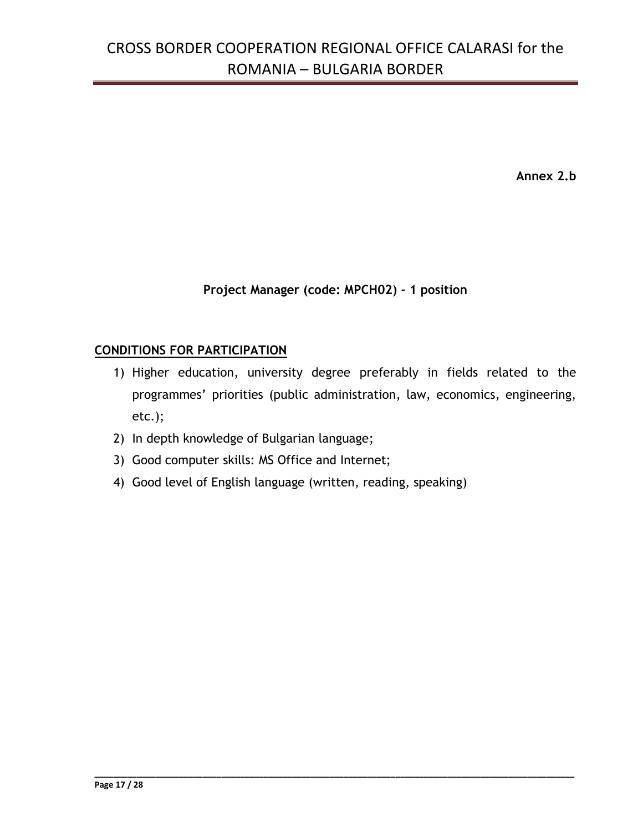**Annex 2.b**

### **Project Manager (code: MPCH02) - 1 position**

### **CONDITIONS FOR PARTICIPATION**

1) Higher education, university degree preferably in fields related to the programmes' priorities (public administration, law, economics, engineering, etc.);

- 2) In depth knowledge of Bulgarian language;
- 3) Good computer skills: MS Office and Internet;
- 4) Good level of English language (written, reading, speaking)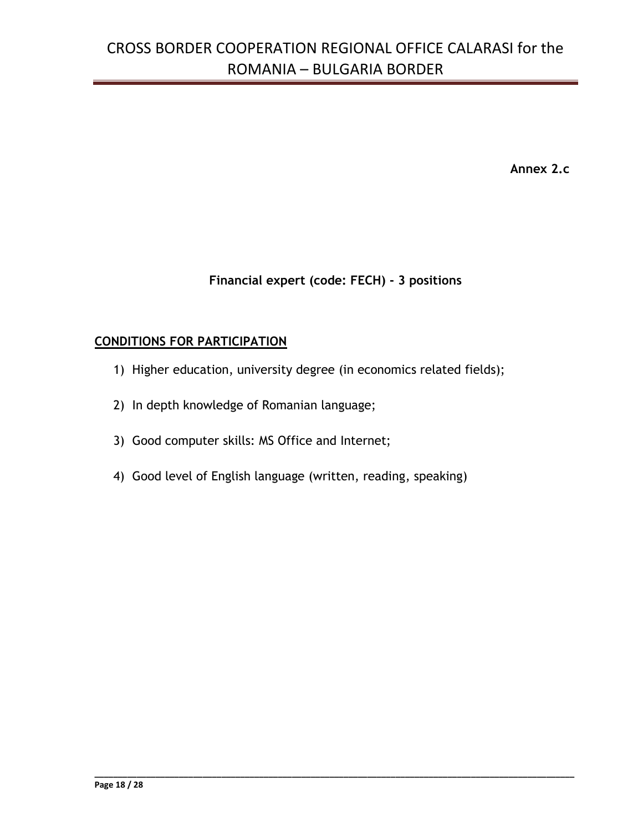**Annex 2.c**

### **Financial expert (code: FECH) - 3 positions**

**\_\_\_\_\_\_\_\_\_\_\_\_\_\_\_\_\_\_\_\_\_\_\_\_\_\_\_\_\_\_\_\_\_\_\_\_\_\_\_\_\_\_\_\_\_\_\_\_\_\_\_\_\_\_\_\_\_\_\_\_\_\_\_\_\_\_\_\_\_\_\_\_\_\_\_\_\_\_\_\_\_\_\_\_\_\_\_\_\_\_\_\_\_\_\_\_\_\_\_\_\_\_**

#### **CONDITIONS FOR PARTICIPATION**

- 1) Higher education, university degree (in economics related fields);
- 2) In depth knowledge of Romanian language;
- 3) Good computer skills: MS Office and Internet;
- 4) Good level of English language (written, reading, speaking)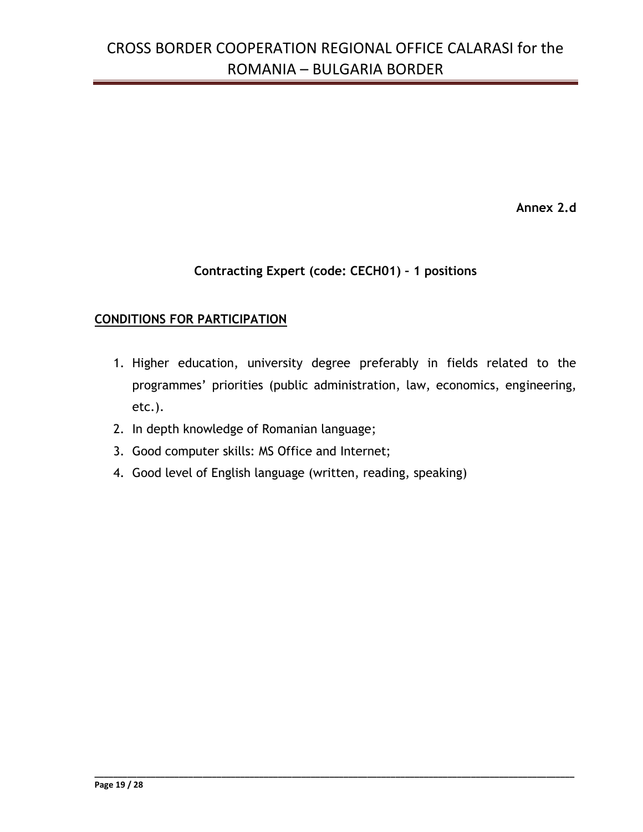**Annex 2.d**

### **Contracting Expert (code: CECH01) – 1 positions**

### **CONDITIONS FOR PARTICIPATION**

1. Higher education, university degree preferably in fields related to the programmes' priorities (public administration, law, economics, engineering, etc.).

- 2. In depth knowledge of Romanian language;
- 3. Good computer skills: MS Office and Internet;
- 4. Good level of English language (written, reading, speaking)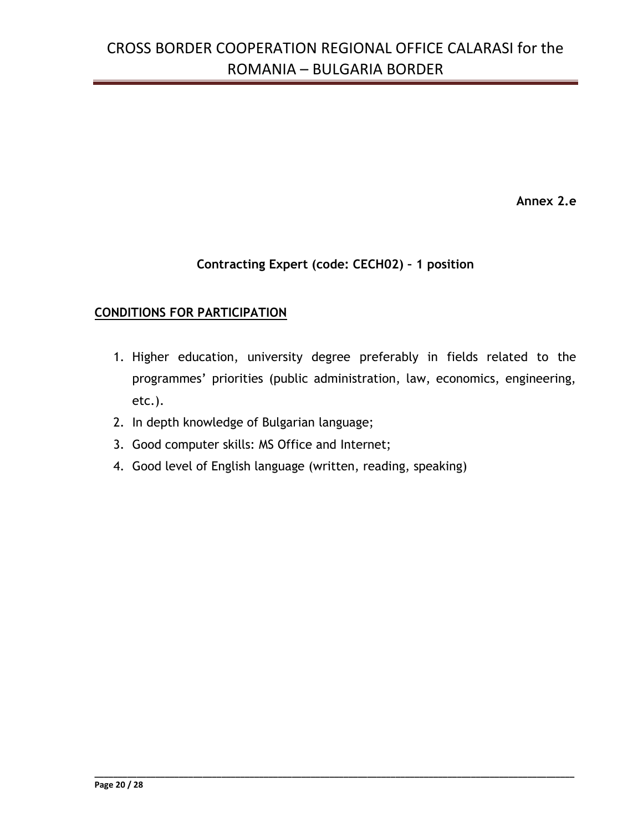**Annex 2.e**

## **Contracting Expert (code: CECH02) – 1 position**

#### **CONDITIONS FOR PARTICIPATION**

1. Higher education, university degree preferably in fields related to the programmes' priorities (public administration, law, economics, engineering, etc.).

- 2. In depth knowledge of Bulgarian language;
- 3. Good computer skills: MS Office and Internet;
- 4. Good level of English language (written, reading, speaking)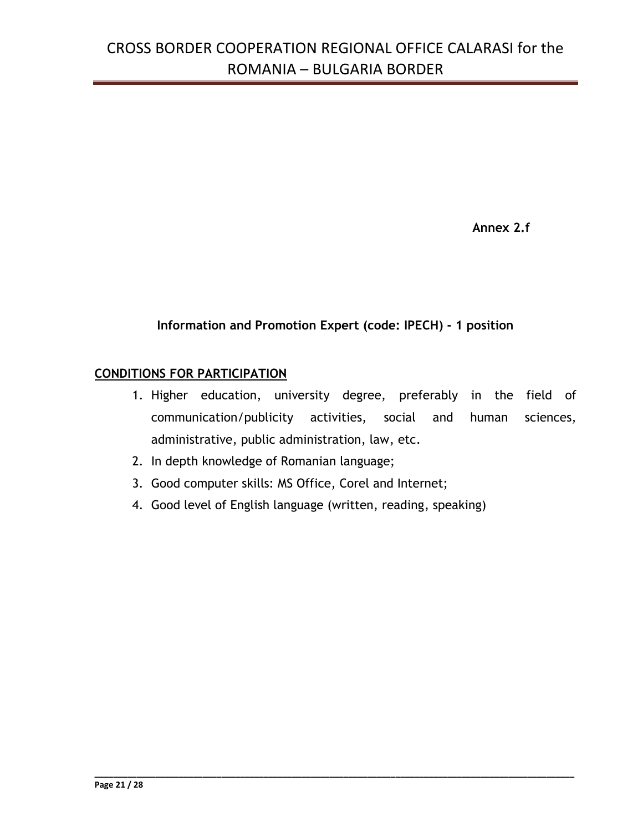**Annex 2.f**

## **Information and Promotion Expert (code: IPECH) - 1 position**

### **CONDITIONS FOR PARTICIPATION**

- 1. Higher education, university degree, preferably in the field of communication/publicity activities, social and human sciences, administrative, public administration, law, etc.
- 2. In depth knowledge of Romanian language;
- 3. Good computer skills: MS Office, Corel and Internet;
- 4. Good level of English language (written, reading, speaking)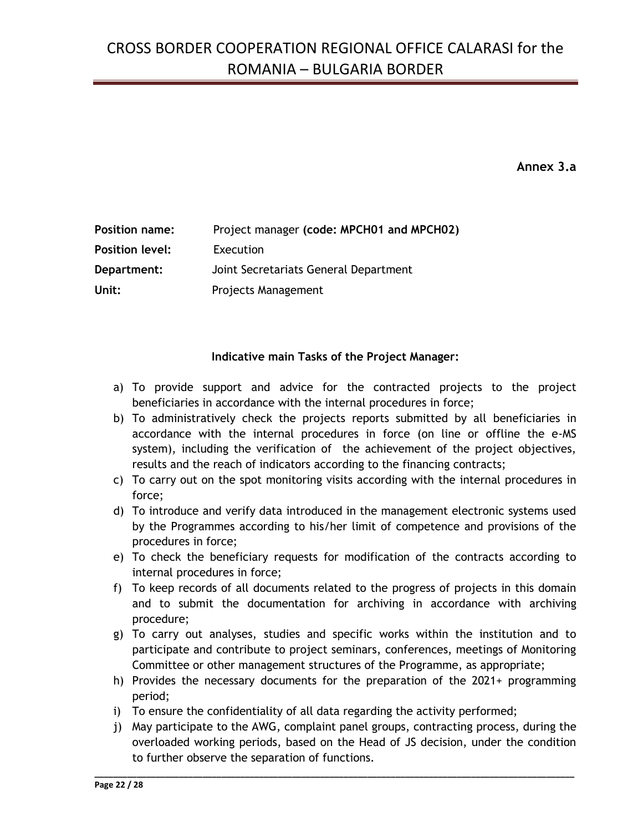**Annex 3.a**

| <b>Position name:</b>  | Project manager (code: MPCH01 and MPCH02) |
|------------------------|-------------------------------------------|
| <b>Position level:</b> | Execution                                 |
| Department:            | Joint Secretariats General Department     |
| Unit:                  | Projects Management                       |

#### **Indicative main Tasks of the Project Manager:**

- a) To provide support and advice for the contracted projects to the project beneficiaries in accordance with the internal procedures in force;
- b) To administratively check the projects reports submitted by all beneficiaries in accordance with the internal procedures in force (on line or offline the e-MS system), including the verification of the achievement of the project objectives, results and the reach of indicators according to the financing contracts;
- c) To carry out on the spot monitoring visits according with the internal procedures in force;
- d) To introduce and verify data introduced in the management electronic systems used by the Programmes according to his/her limit of competence and provisions of the procedures in force;
- e) To check the beneficiary requests for modification of the contracts according to internal procedures in force;
- f) To keep records of all documents related to the progress of projects in this domain and to submit the documentation for archiving in accordance with archiving procedure;
- g) To carry out analyses, studies and specific works within the institution and to participate and contribute to project seminars, conferences, meetings of Monitoring Committee or other management structures of the Programme, as appropriate;
- h) Provides the necessary documents for the preparation of the 2021+ programming period;
- i) To ensure the confidentiality of all data regarding the activity performed;
- j) May participate to the AWG, complaint panel groups, contracting process, during the overloaded working periods, based on the Head of JS decision, under the condition to further observe the separation of functions.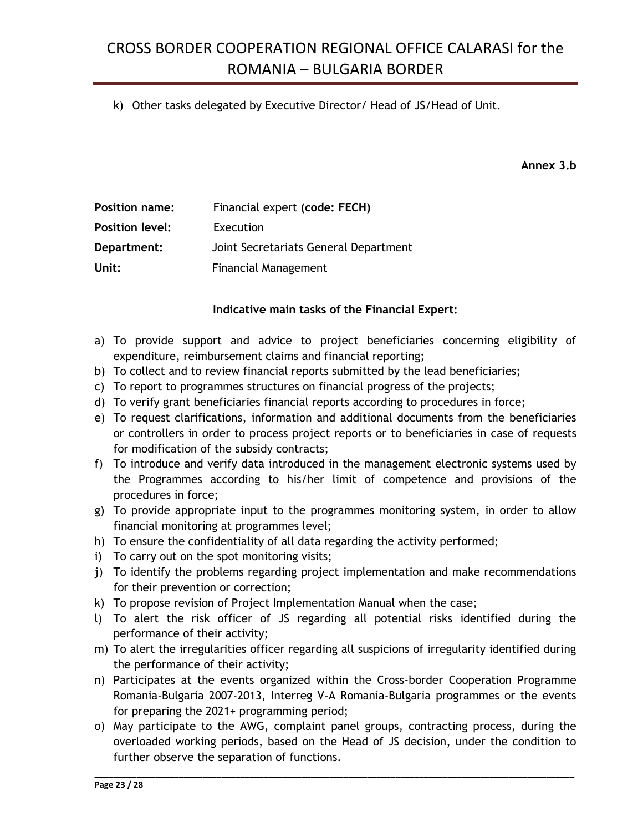k) Other tasks delegated by Executive Director/ Head of JS/Head of Unit.

**Annex 3.b**

| <b>Position name:</b>  | Financial expert (code: FECH)         |
|------------------------|---------------------------------------|
| <b>Position level:</b> | Execution                             |
| Department:            | Joint Secretariats General Department |
| Unit:                  | <b>Financial Management</b>           |

#### **Indicative main tasks of the Financial Expert:**

- a) To provide support and advice to project beneficiaries concerning eligibility of expenditure, reimbursement claims and financial reporting;
- b) To collect and to review financial reports submitted by the lead beneficiaries;
- c) To report to programmes structures on financial progress of the projects;
- d) To verify grant beneficiaries financial reports according to procedures in force;
- e) To request clarifications, information and additional documents from the beneficiaries or controllers in order to process project reports or to beneficiaries in case of requests for modification of the subsidy contracts;
- f) To introduce and verify data introduced in the management electronic systems used by the Programmes according to his/her limit of competence and provisions of the procedures in force;
- g) To provide appropriate input to the programmes monitoring system, in order to allow financial monitoring at programmes level;
- h) To ensure the confidentiality of all data regarding the activity performed;
- i) To carry out on the spot monitoring visits;
- j) To identify the problems regarding project implementation and make recommendations for their prevention or correction;
- k) To propose revision of Project Implementation Manual when the case;
- l) To alert the risk officer of JS regarding all potential risks identified during the performance of their activity;
- m) To alert the irregularities officer regarding all suspicions of irregularity identified during the performance of their activity;
- n) Participates at the events organized within the Cross-border Cooperation Programme Romania-Bulgaria 2007-2013, Interreg V-A Romania-Bulgaria programmes or the events for preparing the 2021+ programming period;
- o) May participate to the AWG, complaint panel groups, contracting process, during the overloaded working periods, based on the Head of JS decision, under the condition to further observe the separation of functions.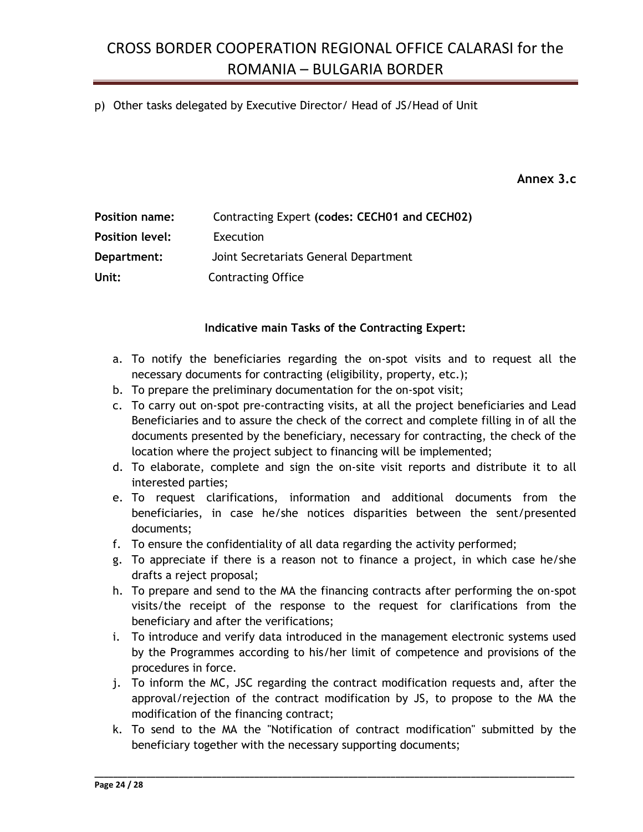#### p) Other tasks delegated by Executive Director/ Head of JS/Head of Unit

**Annex 3.c**

| <b>Position name:</b>  | Contracting Expert (codes: CECH01 and CECH02) |
|------------------------|-----------------------------------------------|
| <b>Position level:</b> | Execution                                     |
| Department:            | Joint Secretariats General Department         |
| Unit:                  | <b>Contracting Office</b>                     |

#### **Indicative main Tasks of the Contracting Expert:**

- a. To notify the beneficiaries regarding the on-spot visits and to request all the necessary documents for contracting (eligibility, property, etc.);
- b. To prepare the preliminary documentation for the on-spot visit;
- c. To carry out on-spot pre-contracting visits, at all the project beneficiaries and Lead Beneficiaries and to assure the check of the correct and complete filling in of all the documents presented by the beneficiary, necessary for contracting, the check of the location where the project subject to financing will be implemented;
- d. To elaborate, complete and sign the on-site visit reports and distribute it to all interested parties;
- e. To request clarifications, information and additional documents from the beneficiaries, in case he/she notices disparities between the sent/presented documents;
- f. To ensure the confidentiality of all data regarding the activity performed;
- g. To appreciate if there is a reason not to finance a project, in which case he/she drafts a reject proposal;
- h. To prepare and send to the MA the financing contracts after performing the on-spot visits/the receipt of the response to the request for clarifications from the beneficiary and after the verifications;
- i. To introduce and verify data introduced in the management electronic systems used by the Programmes according to his/her limit of competence and provisions of the procedures in force.
- j. To inform the MC, JSC regarding the contract modification requests and, after the approval/rejection of the contract modification by JS, to propose to the MA the modification of the financing contract;
- k. To send to the MA the "Notification of contract modification" submitted by the beneficiary together with the necessary supporting documents;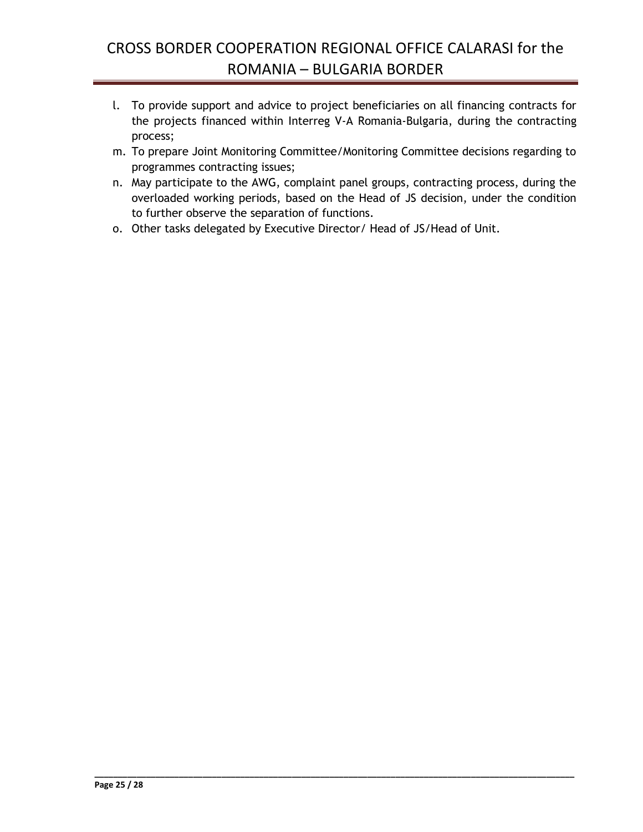- l. To provide support and advice to project beneficiaries on all financing contracts for the projects financed within Interreg V-A Romania-Bulgaria, during the contracting process;
- m. To prepare Joint Monitoring Committee/Monitoring Committee decisions regarding to programmes contracting issues;
- n. May participate to the AWG, complaint panel groups, contracting process, during the overloaded working periods, based on the Head of JS decision, under the condition to further observe the separation of functions.

**\_\_\_\_\_\_\_\_\_\_\_\_\_\_\_\_\_\_\_\_\_\_\_\_\_\_\_\_\_\_\_\_\_\_\_\_\_\_\_\_\_\_\_\_\_\_\_\_\_\_\_\_\_\_\_\_\_\_\_\_\_\_\_\_\_\_\_\_\_\_\_\_\_\_\_\_\_\_\_\_\_\_\_\_\_\_\_\_\_\_\_\_\_\_\_\_\_\_\_\_\_\_**

o. Other tasks delegated by Executive Director/ Head of JS/Head of Unit.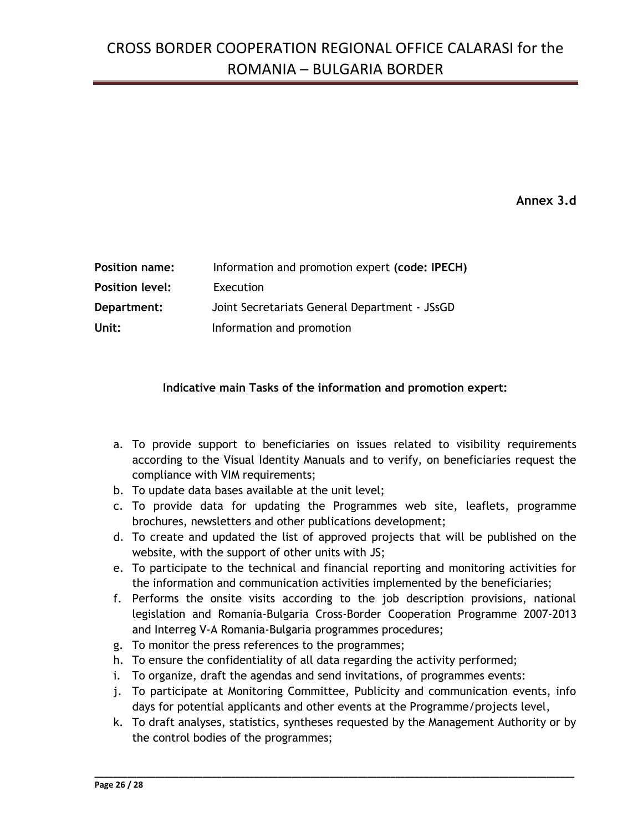**Annex 3.d**

| <b>Position name:</b>  | Information and promotion expert (code: IPECH) |
|------------------------|------------------------------------------------|
| <b>Position level:</b> | Execution                                      |
| Department:            | Joint Secretariats General Department - JSsGD  |
| Unit:                  | Information and promotion                      |

#### **Indicative main Tasks of the information and promotion expert:**

- a. To provide support to beneficiaries on issues related to visibility requirements according to the Visual Identity Manuals and to verify, on beneficiaries request the compliance with VIM requirements;
- b. To update data bases available at the unit level;
- c. To provide data for updating the Programmes web site, leaflets, programme brochures, newsletters and other publications development;
- d. To create and updated the list of approved projects that will be published on the website, with the support of other units with JS;
- e. To participate to the technical and financial reporting and monitoring activities for the information and communication activities implemented by the beneficiaries;
- f. Performs the onsite visits according to the job description provisions, national legislation and Romania-Bulgaria Cross-Border Cooperation Programme 2007-2013 and Interreg V-A Romania-Bulgaria programmes procedures;
- g. To monitor the press references to the programmes;
- h. To ensure the confidentiality of all data regarding the activity performed;
- i. To organize, draft the agendas and send invitations, of programmes events:
- j. To participate at Monitoring Committee, Publicity and communication events, info days for potential applicants and other events at the Programme/projects level,
- k. To draft analyses, statistics, syntheses requested by the Management Authority or by the control bodies of the programmes;